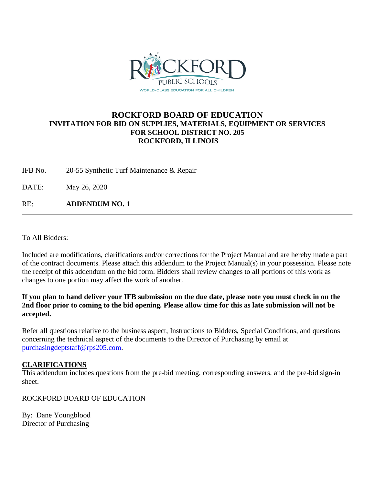

## **ROCKFORD BOARD OF EDUCATION INVITATION FOR BID ON SUPPLIES, MATERIALS, EQUIPMENT OR SERVICES FOR SCHOOL DISTRICT NO. 205 ROCKFORD, ILLINOIS**

IFB No. 20-55 Synthetic Turf Maintenance & Repair

DATE: May 26, 2020

RE: **ADDENDUM NO. 1**

To All Bidders:

Included are modifications, clarifications and/or corrections for the Project Manual and are hereby made a part of the contract documents. Please attach this addendum to the Project Manual(s) in your possession. Please note the receipt of this addendum on the bid form. Bidders shall review changes to all portions of this work as changes to one portion may affect the work of another.

**If you plan to hand deliver your IFB submission on the due date, please note you must check in on the 2nd floor prior to coming to the bid opening. Please allow time for this as late submission will not be accepted.**

Refer all questions relative to the business aspect, Instructions to Bidders, Special Conditions, and questions concerning the technical aspect of the documents to the Director of Purchasing by email at [purchasingdeptstaff@rps205.com.](mailto:purchasingdeptstaff@rps205.com)

#### **CLARIFICATIONS**

This addendum includes questions from the pre-bid meeting, corresponding answers, and the pre-bid sign-in sheet.

ROCKFORD BOARD OF EDUCATION

By: Dane Youngblood Director of Purchasing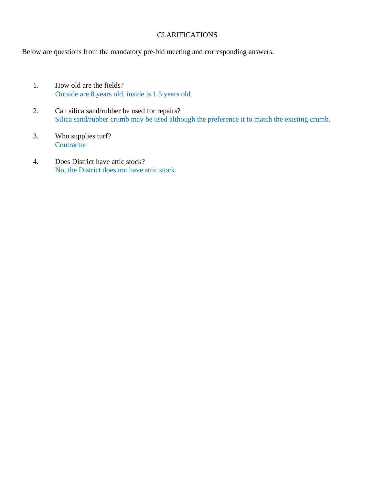### CLARIFICATIONS

Below are questions from the mandatory pre-bid meeting and corresponding answers.

- 1. How old are the fields? Outside are 8 years old, inside is 1.5 years old.
- 2. Can silica sand/rubber be used for repairs? Silica sand/rubber crumb may be used although the preference it to match the existing crumb.
- 3. Who supplies turf? **Contractor**
- 4. Does District have attic stock? No, the District does not have attic stock.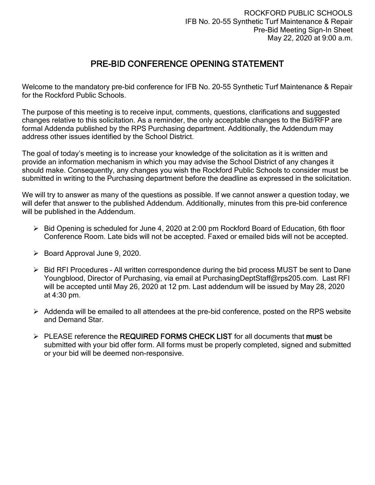# PRE-BID CONFERENCE OPENING STATEMENT

Welcome to the mandatory pre-bid conference for IFB No. 20-55 Synthetic Turf Maintenance & Repair for the Rockford Public Schools.

The purpose of this meeting is to receive input, comments, questions, clarifications and suggested changes relative to this solicitation. As a reminder, the only acceptable changes to the Bid/RFP are formal Addenda published by the RPS Purchasing department. Additionally, the Addendum may address other issues identified by the School District.

The goal of today's meeting is to increase your knowledge of the solicitation as it is written and provide an information mechanism in which you may advise the School District of any changes it should make. Consequently, any changes you wish the Rockford Public Schools to consider must be submitted in writing to the Purchasing department before the deadline as expressed in the solicitation.

We will try to answer as many of the questions as possible. If we cannot answer a question today, we will defer that answer to the published Addendum. Additionally, minutes from this pre-bid conference will be published in the Addendum.

- $\triangleright$  Bid Opening is scheduled for June 4, 2020 at 2:00 pm Rockford Board of Education, 6th floor Conference Room. Late bids will not be accepted. Faxed or emailed bids will not be accepted.
- $\triangleright$  Board Approval June 9, 2020.
- ▶ Bid RFI Procedures All written correspondence during the bid process MUST be sent to Dane Youngblood, Director of Purchasing, via email at PurchasingDeptStaff@rps205.com. Last RFI will be accepted until May 26, 2020 at 12 pm. Last addendum will be issued by May 28, 2020 at 4:30 pm.
- $\triangleright$  Addenda will be emailed to all attendees at the pre-bid conference, posted on the RPS website and Demand Star.
- $\triangleright$  PLEASE reference the REQUIRED FORMS CHECK LIST for all documents that must be submitted with your bid offer form. All forms must be properly completed, signed and submitted or your bid will be deemed non-responsive.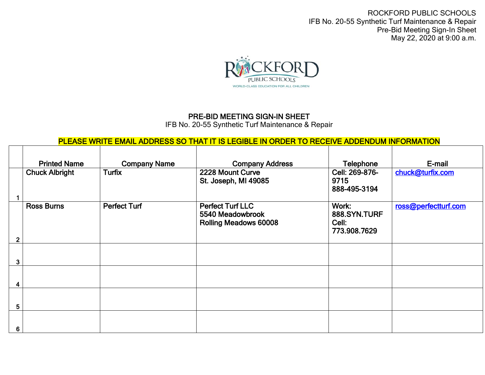ROCKFORD PUBLIC SCHOOLS IFB No. 20-55 Synthetic Turf Maintenance & Repair Pre-Bid Meeting Sign-In Sheet May 22, 2020 at 9:00 a.m.



## PRE-BID MEETING SIGN-IN SHEET

IFB No. 20-55 Synthetic Turf Maintenance & Repair

## PLEASE WRITE EMAIL ADDRESS SO THAT IT IS LEGIBLE IN ORDER TO RECEIVE ADDENDUM INFORMATION

|                | <b>Printed Name</b>   | <b>Company Name</b> | <b>Company Address</b>                                                      | Telephone                                      | E-mail               |
|----------------|-----------------------|---------------------|-----------------------------------------------------------------------------|------------------------------------------------|----------------------|
|                | <b>Chuck Albright</b> | <b>Turfix</b>       | 2228 Mount Curve<br>St. Joseph, MI 49085                                    | Cell: 269-876-<br>9715<br>888-495-3194         | chuck@turfix.com     |
| $\overline{2}$ | <b>Ross Burns</b>     | <b>Perfect Turf</b> | <b>Perfect Turf LLC</b><br>5540 Meadowbrook<br><b>Rolling Meadows 60008</b> | Work:<br>888.SYN.TURF<br>Cell:<br>773.908.7629 | ross@perfectturf.com |
|                |                       |                     |                                                                             |                                                |                      |
| 3              |                       |                     |                                                                             |                                                |                      |
|                |                       |                     |                                                                             |                                                |                      |
| 5              |                       |                     |                                                                             |                                                |                      |
| 6              |                       |                     |                                                                             |                                                |                      |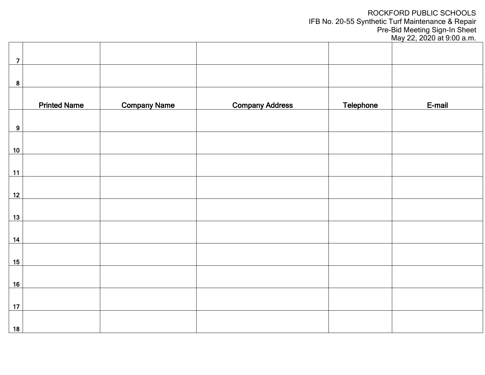ROCKFORD PUBLIC SCHOOLS IFB No. 20-55 Synthetic Turf Maintenance & Repair Pre-Bid Meeting Sign-In Sheet

May 22, 2020 at 9:00 a.m.

| $\overline{7}$   |                     |                     |                        |           |        |
|------------------|---------------------|---------------------|------------------------|-----------|--------|
| $\boldsymbol{8}$ |                     |                     |                        |           |        |
|                  | <b>Printed Name</b> | <b>Company Name</b> | <b>Company Address</b> | Telephone | E-mail |
| 9                |                     |                     |                        |           |        |
| $10$             |                     |                     |                        |           |        |
| 11               |                     |                     |                        |           |        |
| 12               |                     |                     |                        |           |        |
| 13               |                     |                     |                        |           |        |
| 14               |                     |                     |                        |           |        |
| 15               |                     |                     |                        |           |        |
| 16               |                     |                     |                        |           |        |
| 17               |                     |                     |                        |           |        |
| 18               |                     |                     |                        |           |        |